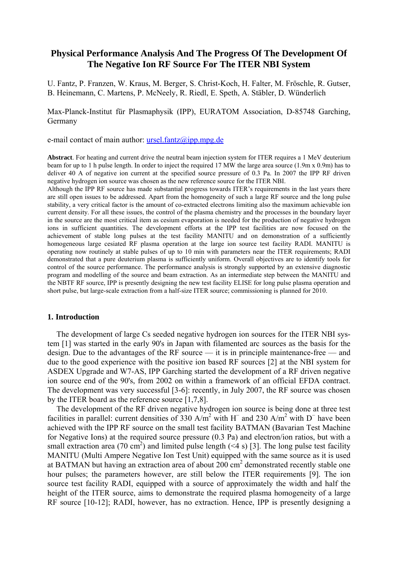# **Physical Performance Analysis And The Progress Of The Development Of The Negative Ion RF Source For The ITER NBI System**

U. Fantz, P. Franzen, W. Kraus, M. Berger, S. Christ-Koch, H. Falter, M. Fröschle, R. Gutser, B. Heinemann, C. Martens, P. McNeely, R. Riedl, E. Speth, A. Stäbler, D. Wünderlich

# Max-Planck-Institut für Plasmaphysik (IPP), EURATOM Association, D-85748 Garching, Germany

e-mail contact of main author:  $ursel.fantz@ipp.mpg.de$ </u>

**Abstract**. For heating and current drive the neutral beam injection system for ITER requires a 1 MeV deuterium beam for up to 1 h pulse length. In order to inject the required 17 MW the large area source (1.9m x 0.9m) has to deliver 40 A of negative ion current at the specified source pressure of 0.3 Pa. In 2007 the IPP RF driven negative hydrogen ion source was chosen as the new reference source for the ITER NBI.

Although the IPP RF source has made substantial progress towards ITER's requirements in the last years there are still open issues to be addressed. Apart from the homogeneity of such a large RF source and the long pulse stability, a very critical factor is the amount of co-extracted electrons limiting also the maximum achievable ion current density. For all these issues, the control of the plasma chemistry and the processes in the boundary layer in the source are the most critical item as cesium evaporation is needed for the production of negative hydrogen ions in sufficient quantities. The development efforts at the IPP test facilities are now focused on the achievement of stable long pulses at the test facility MANITU and on demonstration of a sufficiently homogeneous large cesiated RF plasma operation at the large ion source test facility RADI. MANITU is operating now routinely at stable pulses of up to 10 min with parameters near the ITER requirements; RADI demonstrated that a pure deuterium plasma is sufficiently uniform. Overall objectives are to identify tools for control of the source performance. The performance analysis is strongly supported by an extensive diagnostic program and modelling of the source and beam extraction. As an intermediate step between the MANITU and the NBTF RF source, IPP is presently designing the new test facility ELISE for long pulse plasma operation and short pulse, but large-scale extraction from a half-size ITER source; commissioning is planned for 2010.

#### **1. Introduction**

The development of large Cs seeded negative hydrogen ion sources for the ITER NBI system [1] was started in the early 90's in Japan with filamented arc sources as the basis for the design. Due to the advantages of the RF source — it is in principle maintenance-free — and due to the good experience with the positive ion based RF sources [2] at the NBI system for ASDEX Upgrade and W7-AS, IPP Garching started the development of a RF driven negative ion source end of the 90's, from 2002 on within a framework of an official EFDA contract. The development was very successful [3-6]: recently, in July 2007, the RF source was chosen by the ITER board as the reference source [1,7,8].

The development of the RF driven negative hydrogen ion source is being done at three test facilities in parallel: current densities of 330 A/m<sup>2</sup> with H<sup> $-$ </sup> and 230 A/m<sup>2</sup> with D<sup> $-$ </sup> have been achieved with the IPP RF source on the small test facility BATMAN (Bavarian Test Machine for Negative Ions) at the required source pressure (0.3 Pa) and electron/ion ratios, but with a small extraction area (70 cm<sup>2</sup>) and limited pulse length (<4 s) [3]. The long pulse test facility MANITU (Multi Ampere Negative Ion Test Unit) equipped with the same source as it is used at BATMAN but having an extraction area of about 200 cm<sup>2</sup> demonstrated recently stable one hour pulses; the parameters however, are still below the ITER requirements [9]. The ion source test facility RADI, equipped with a source of approximately the width and half the height of the ITER source, aims to demonstrate the required plasma homogeneity of a large RF source [10-12]; RADI, however, has no extraction. Hence, IPP is presently designing a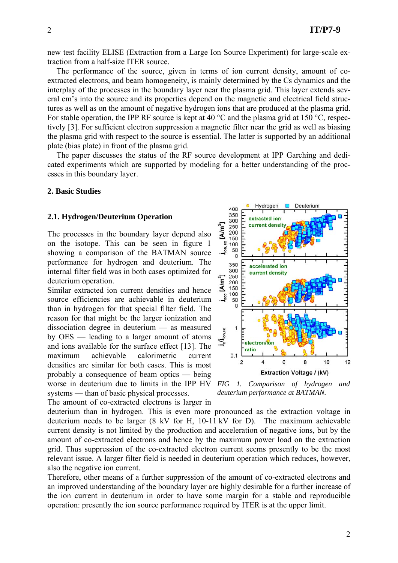new test facility ELISE (Extraction from a Large Ion Source Experiment) for large-scale extraction from a half-size ITER source.

The performance of the source, given in terms of ion current density, amount of coextracted electrons, and beam homogeneity, is mainly determined by the Cs dynamics and the interplay of the processes in the boundary layer near the plasma grid. This layer extends several cm's into the source and its properties depend on the magnetic and electrical field structures as well as on the amount of negative hydrogen ions that are produced at the plasma grid. For stable operation, the IPP RF source is kept at 40 °C and the plasma grid at 150 °C, respectively [3]. For sufficient electron suppression a magnetic filter near the grid as well as biasing the plasma grid with respect to the source is essential. The latter is supported by an additional plate (bias plate) in front of the plasma grid.

The paper discusses the status of the RF source development at IPP Garching and dedicated experiments which are supported by modeling for a better understanding of the processes in this boundary layer.

### **2. Basic Studies**

#### **2.1. Hydrogen/Deuterium Operation**

The processes in the boundary layer depend also on the isotope. This can be seen in figure 1 showing a comparison of the BATMAN source performance for hydrogen and deuterium. The internal filter field was in both cases optimized for deuterium operation.

Similar extracted ion current densities and hence source efficiencies are achievable in deuterium than in hydrogen for that special filter field. The reason for that might be the larger ionization and dissociation degree in deuterium — as measured by OES — leading to a larger amount of atoms and ions available for the surface effect [13]. The maximum achievable calorimetric current densities are similar for both cases. This is most probably a consequence of beam optics — being worse in deuterium due to limits in the IPP HV systems — than of basic physical processes.

The amount of co-extracted electrons is larger in



*FIG 1. Comparison of hydrogen and deuterium performance at BATMAN.*

deuterium than in hydrogen. This is even more pronounced as the extraction voltage in deuterium needs to be larger (8 kV for H, 10-11 kV for D). The maximum achievable current density is not limited by the production and acceleration of negative ions, but by the amount of co-extracted electrons and hence by the maximum power load on the extraction grid. Thus suppression of the co-extracted electron current seems presently to be the most relevant issue. A larger filter field is needed in deuterium operation which reduces, however, also the negative ion current.

Therefore, other means of a further suppression of the amount of co-extracted electrons and an improved understanding of the boundary layer are highly desirable for a further increase of the ion current in deuterium in order to have some margin for a stable and reproducible operation: presently the ion source performance required by ITER is at the upper limit.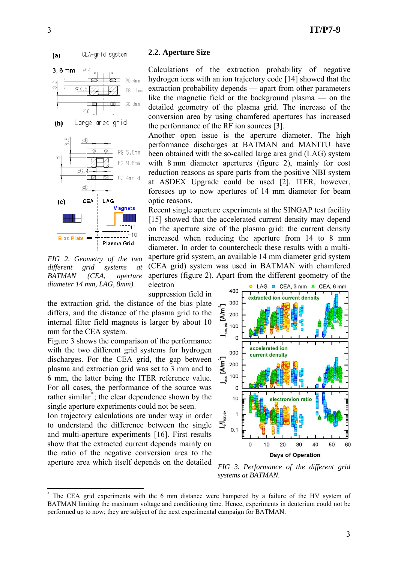

**2.2. Aperture Size** 

optic reasons.

electron

Calculations of the extraction probability of negative hydrogen ions with an ion trajectory code [14] showed that the extraction probability depends — apart from other parameters like the magnetic field or the background plasma — on the detailed geometry of the plasma grid. The increase of the conversion area by using chamfered apertures has increased

Another open issue is the aperture diameter. The high performance discharges at BATMAN and MANITU have been obtained with the so-called large area grid (LAG) system with 8 mm diameter apertures (figure 2), mainly for cost reduction reasons as spare parts from the positive NBI system at ASDEX Upgrade could be used [2]. ITER, however, foresees up to now apertures of 14 mm diameter for beam

Recent single aperture experiments at the SINGAP test facility [15] showed that the accelerated current density may depend on the aperture size of the plasma grid: the current density increased when reducing the aperture from 14 to 8 mm diameter. In order to countercheck these results with a multiaperture grid system, an available 14 mm diameter grid system

the performance of the RF ion sources [3].



*FIG 2. Geometry of the two different grid systems at BATMAN (CEA, aperture diameter 14 mm, LAG, 8mm).*

1

suppression field in the extraction grid, the distance of the bias plate differs, and the distance of the plasma grid to the internal filter field magnets is larger by about 10 mm for the CEA system.

Figure 3 shows the comparison of the performance with the two different grid systems for hydrogen discharges. For the CEA grid, the gap between plasma and extraction grid was set to 3 mm and to 6 mm, the latter being the ITER reference value. For all cases, the performance of the source was rather similar<sup>[\\*](#page-2-0)</sup>; the clear dependence shown by the single aperture experiments could not be seen.

Ion trajectory calculations are under way in order to understand the difference between the single and multi-aperture experiments [16]. First results show that the extracted current depends mainly on the ratio of the negative conversion area to the aperture area which itself depends on the detailed





*FIG 3. Performance of the different grid systems at BATMAN.*

<span id="page-2-0"></span><sup>\*</sup> The CEA grid experiments with the 6 mm distance were hampered by a failure of the HV system of BATMAN limiting the maximum voltage and conditioning time. Hence, experiments in deuterium could not be performed up to now; they are subject of the next experimental campaign for BATMAN.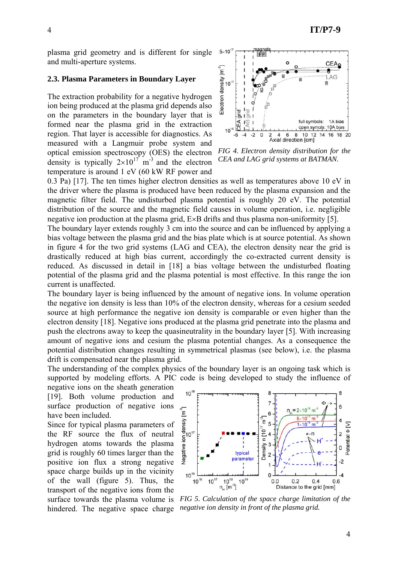plasma grid geometry and is different for single and multi-aperture systems.

### **2.3. Plasma Parameters in Boundary Layer**

The extraction probability for a negative hydrogen ion being produced at the plasma grid depends also on the parameters in the boundary layer that is formed near the plasma grid in the extraction region. That layer is accessible for diagnostics. As measured with a Langmuir probe system and optical emission spectroscopy (OES) the electron density is typically  $2\times10^{17}$  m<sup>-3</sup> and the electron temperature is around 1 eV (60 kW RF power and



*FIG 4. Electron density distribution for the CEA and LAG grid systems at BATMAN.*

0.3 Pa) [17]. The ten times higher electron densities as well as temperatures above 10 eV in the driver where the plasma is produced have been reduced by the plasma expansion and the magnetic filter field. The undisturbed plasma potential is roughly 20 eV. The potential distribution of the source and the magnetic field causes in volume operation, i.e. negligible negative ion production at the plasma grid, E×B drifts and thus plasma non-uniformity [5].

The boundary layer extends roughly 3 cm into the source and can be influenced by applying a bias voltage between the plasma grid and the bias plate which is at source potential. As shown in figure 4 for the two grid systems (LAG and CEA), the electron density near the grid is drastically reduced at high bias current, accordingly the co-extracted current density is reduced. As discussed in detail in [18] a bias voltage between the undisturbed floating potential of the plasma grid and the plasma potential is most effective. In this range the ion current is unaffected.

The boundary layer is being influenced by the amount of negative ions. In volume operation the negative ion density is less than 10% of the electron density, whereas for a cesium seeded source at high performance the negative ion density is comparable or even higher than the electron density [18]. Negative ions produced at the plasma grid penetrate into the plasma and push the electrons away to keep the quasineutrality in the boundary layer [5]. With increasing amount of negative ions and cesium the plasma potential changes. As a consequence the potential distribution changes resulting in symmetrical plasmas (see below), i.e. the plasma drift is compensated near the plasma grid.

The understanding of the complex physics of the boundary layer is an ongoing task which is supported by modeling efforts. A PIC code is being developed to study the influence of

negative ions on the sheath generation [19]. Both volume production and surface production of negative ions have been included.

Since for typical plasma parameters of the RF source the flux of neutral hydrogen atoms towards the plasma grid is roughly 60 times larger than the positive ion flux a strong negative space charge builds up in the vicinity of the wall (figure 5). Thus, the transport of the negative ions from the surface towards the plasma volume is hindered. The negative space charge



*FIG 5. Calculation of the space charge limitation of the negative ion density in front of the plasma grid.*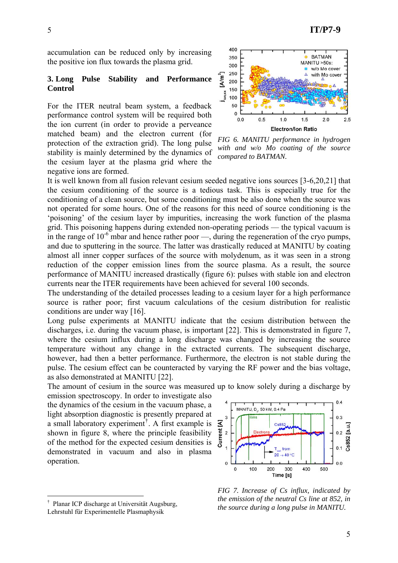accumulation can be reduced only by increasing the positive ion flux towards the plasma grid.

# **3. Long Pulse Stability and Performance Control**

For the ITER neutral beam system, a feedback performance control system will be required both the ion current (in order to provide a perveance matched beam) and the electron current (for protection of the extraction grid). The long pulse stability is mainly determined by the dynamics of the cesium layer at the plasma grid where the negative ions are formed.



*FIG 6. MANITU performance in hydrogen with and w/o Mo coating of the source compared to BATMAN.*

It is well known from all fusion relevant cesium seeded negative ions sources [3-6,20,21] that the cesium conditioning of the source is a tedious task. This is especially true for the conditioning of a clean source, but some conditioning must be also done when the source was not operated for some hours. One of the reasons for this need of source conditioning is the 'poisoning' of the cesium layer by impurities, increasing the work function of the plasma grid. This poisoning happens during extended non-operating periods — the typical vacuum is in the range of  $10^{-6}$  mbar and hence rather poor —, during the regeneration of the cryo pumps, and due to sputtering in the source. The latter was drastically reduced at MANITU by coating almost all inner copper surfaces of the source with molydenum, as it was seen in a strong reduction of the copper emission lines from the source plasma. As a result, the source performance of MANITU increased drastically (figure 6): pulses with stable ion and electron currents near the ITER requirements have been achieved for several 100 seconds.

The understanding of the detailed processes leading to a cesium layer for a high performance source is rather poor; first vacuum calculations of the cesium distribution for realistic conditions are under way [16].

Long pulse experiments at MANITU indicate that the cesium distribution between the discharges, i.e. during the vacuum phase, is important [22]. This is demonstrated in figure 7, where the cesium influx during a long discharge was changed by increasing the source temperature without any change in the extracted currents. The subsequent discharge, however, had then a better performance. Furthermore, the electron is not stable during the pulse. The cesium effect can be counteracted by varying the RF power and the bias voltage, as also demonstrated at MANITU [22].

The amount of cesium in the source was measured up to know solely during a discharge by

emission spectroscopy. In order to investigate also the dynamics of the cesium in the vacuum phase, a light absorption diagnostic is presently prepared at a small laboratory experiment[†](#page-4-0) . A first example is shown in figure 8, where the principle feasibility of the method for the expected cesium densities is demonstrated in vacuum and also in plasma operation.

<u>.</u>



*FIG 7. Increase of Cs influx, indicated by the emission of the neutral Cs line at 852, in the source during a long pulse in MANITU.*

<span id="page-4-0"></span><sup>†</sup> Planar ICP discharge at Universität Augsburg, Lehrstuhl für Experimentelle Plasmaphysik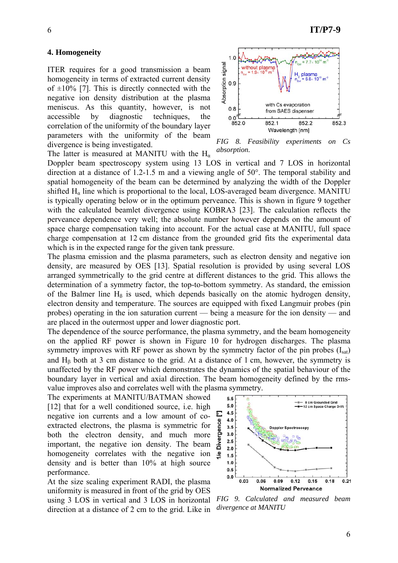### **4. Homogeneity**

ITER requires for a good transmission a beam homogeneity in terms of extracted current density of  $\pm 10\%$  [7]. This is directly connected with the negative ion density distribution at the plasma meniscus. As this quantity, however, is not accessible by diagnostic techniques, the correlation of the uniformity of the boundary layer parameters with the uniformity of the beam divergence is being investigated.

The latter is measured at MANITU with the  $H_{\alpha}$ 

Doppler beam spectroscopy system using 13 LOS in vertical and 7 LOS in horizontal direction at a distance of 1.2-1.5 m and a viewing angle of 50°. The temporal stability and spatial homogeneity of the beam can be determined by analyzing the width of the Doppler shifted  $H<sub>a</sub>$  line which is proportional to the local, LOS-averaged beam divergence. MANITU is typically operating below or in the optimum perveance. This is shown in figure 9 together with the calculated beamlet divergence using KOBRA3 [23]. The calculation reflects the perveance dependence very well; the absolute number however depends on the amount of space charge compensation taking into account. For the actual case at MANITU, full space charge compensation at 12 cm distance from the grounded grid fits the experimental data which is in the expected range for the given tank pressure.

The plasma emission and the plasma parameters, such as electron density and negative ion density, are measured by OES [13]. Spatial resolution is provided by using several LOS arranged symmetrically to the grid centre at different distances to the grid. This allows the determination of a symmetry factor, the top-to-bottom symmetry. As standard, the emission of the Balmer line  $H_\beta$  is used, which depends basically on the atomic hydrogen density, electron density and temperature. The sources are equipped with fixed Langmuir probes (pin probes) operating in the ion saturation current — being a measure for the ion density — and are placed in the outermost upper and lower diagnostic port.

The dependence of the source performance, the plasma symmetry, and the beam homogeneity on the applied RF power is shown in Figure 10 for hydrogen discharges. The plasma symmetry improves with RF power as shown by the symmetry factor of the pin probes  $(I<sub>sat</sub>)$ and  $H<sub>β</sub>$  both at 3 cm distance to the grid. At a distance of 1 cm, however, the symmetry is unaffected by the RF power which demonstrates the dynamics of the spatial behaviour of the boundary layer in vertical and axial direction. The beam homogeneity defined by the rmsvalue improves also and correlates well with the plasma symmetry.

The experiments at MANITU/BATMAN showed [12] that for a well conditioned source, i.e. high negative ion currents and a low amount of coextracted electrons, the plasma is symmetric for both the electron density, and much more important, the negative ion density. The beam homogeneity correlates with the negative ion density and is better than 10% at high source performance.

At the size scaling experiment RADI, the plasma uniformity is measured in front of the grid by OES using 3 LOS in vertical and 3 LOS in horizontal direction at a distance of 2 cm to the grid. Like in



*FIG 9. Calculated and measured beam divergence at MANITU* 



*FIG 8. Feasibility experiments on Cs absorption.*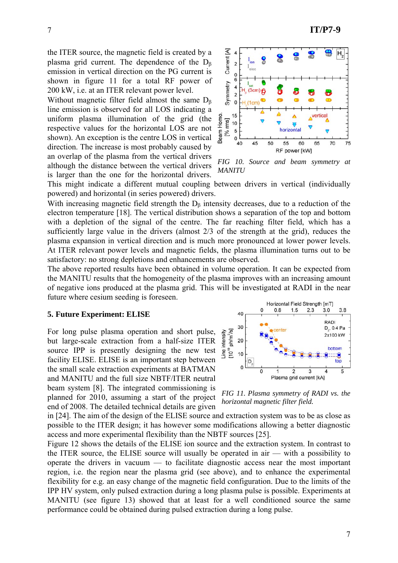the ITER source, the magnetic field is created by a plasma grid current. The dependence of the  $D_B$ emission in vertical direction on the PG current is shown in figure 11 for a total RF power of 200 kW, i.e. at an ITER relevant power level.

Without magnetic filter field almost the same  $D_B$ line emission is observed for all LOS indicating a uniform plasma illumination of the grid (the respective values for the horizontal LOS are not shown). An exception is the centre LOS in vertical direction. The increase is most probably caused by an overlap of the plasma from the vertical drivers although the distance between the vertical drivers is larger than the one for the horizontal drivers.



*FIG 10. Source and beam symmetry at MANITU*

This might indicate a different mutual coupling between drivers in vertical (individually powered) and horizontal (in series powered) drivers.

With increasing magnetic field strength the  $D_\beta$  intensity decreases, due to a reduction of the electron temperature [18]. The vertical distribution shows a separation of the top and bottom with a depletion of the signal of the centre. The far reaching filter field, which has a sufficiently large value in the drivers (almost 2/3 of the strength at the grid), reduces the plasma expansion in vertical direction and is much more pronounced at lower power levels. At ITER relevant power levels and magnetic fields, the plasma illumination turns out to be satisfactory: no strong depletions and enhancements are observed.

The above reported results have been obtained in volume operation. It can be expected from the MANITU results that the homogeneity of the plasma improves with an increasing amount of negative ions produced at the plasma grid. This will be investigated at RADI in the near future where cesium seeding is foreseen.

#### **5. Future Experiment: ELISE**

For long pulse plasma operation and short pulse, but large-scale extraction from a half-size ITER source IPP is presently designing the new test facility ELISE. ELISE is an important step between the small scale extraction experiments at BATMAN and MANITU and the full size NBTF/ITER neutral beam system [8]. The integrated commissioning is planned for 2010, assuming a start of the project end of 2008. The detailed technical details are given

![](_page_6_Figure_10.jpeg)

*FIG 11. Plasma symmetry of RADI vs. the horizontal magnetic filter field.*

in [24]. The aim of the design of the ELISE source and extraction system was to be as close as possible to the ITER design; it has however some modifications allowing a better diagnostic access and more experimental flexibility than the NBTF sources [25].

Figure 12 shows the details of the ELISE ion source and the extraction system. In contrast to the ITER source, the ELISE source will usually be operated in air — with a possibility to operate the drivers in vacuum — to facilitate diagnostic access near the most important region, i.e. the region near the plasma grid (see above), and to enhance the experimental flexibility for e.g. an easy change of the magnetic field configuration. Due to the limits of the IPP HV system, only pulsed extraction during a long plasma pulse is possible. Experiments at MANITU (see figure 13) showed that at least for a well conditioned source the same performance could be obtained during pulsed extraction during a long pulse.